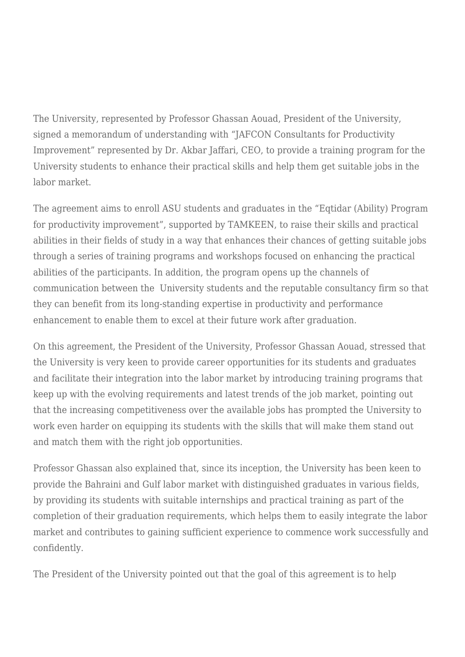The University, represented by Professor Ghassan Aouad, President of the University, signed a memorandum of understanding with "JAFCON Consultants for Productivity Improvement" represented by Dr. Akbar Jaffari, CEO, to provide a training program for the University students to enhance their practical skills and help them get suitable jobs in the labor market.

The agreement aims to enroll ASU students and graduates in the "Eqtidar (Ability) Program for productivity improvement", supported by TAMKEEN, to raise their skills and practical abilities in their fields of study in a way that enhances their chances of getting suitable jobs through a series of training programs and workshops focused on enhancing the practical abilities of the participants. In addition, the program opens up the channels of communication between the University students and the reputable consultancy firm so that they can benefit from its long-standing expertise in productivity and performance enhancement to enable them to excel at their future work after graduation.

On this agreement, the President of the University, Professor Ghassan Aouad, stressed that the University is very keen to provide career opportunities for its students and graduates and facilitate their integration into the labor market by introducing training programs that keep up with the evolving requirements and latest trends of the job market, pointing out that the increasing competitiveness over the available jobs has prompted the University to work even harder on equipping its students with the skills that will make them stand out and match them with the right job opportunities.

Professor Ghassan also explained that, since its inception, the University has been keen to provide the Bahraini and Gulf labor market with distinguished graduates in various fields, by providing its students with suitable internships and practical training as part of the completion of their graduation requirements, which helps them to easily integrate the labor market and contributes to gaining sufficient experience to commence work successfully and confidently.

The President of the University pointed out that the goal of this agreement is to help